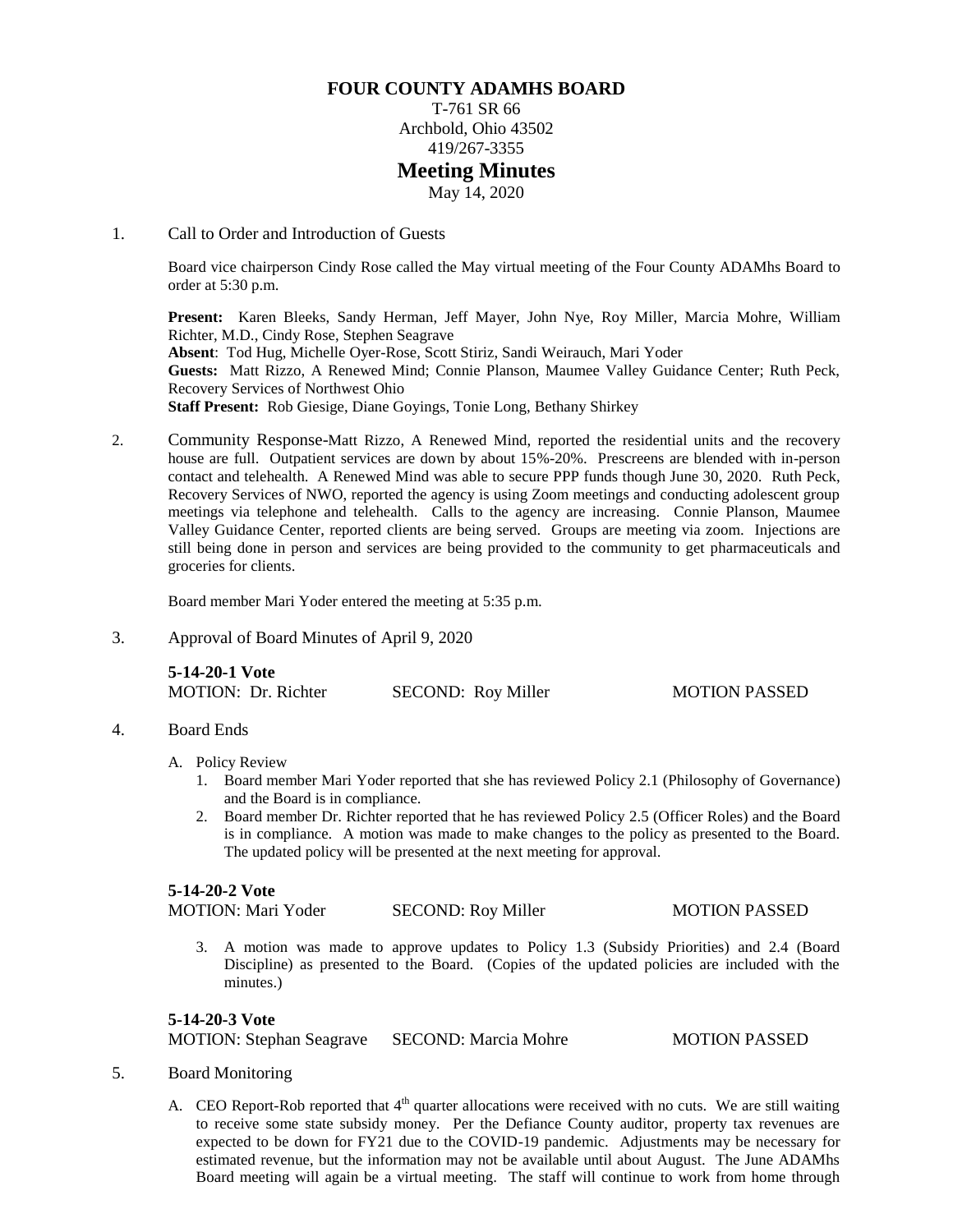# **FOUR COUNTY ADAMHS BOARD**

T-761 SR 66 Archbold, Ohio 43502 419/267-3355 **Meeting Minutes** May 14, 2020

#### 1. Call to Order and Introduction of Guests

Board vice chairperson Cindy Rose called the May virtual meeting of the Four County ADAMhs Board to order at 5:30 p.m.

**Present:** Karen Bleeks, Sandy Herman, Jeff Mayer, John Nye, Roy Miller, Marcia Mohre, William Richter, M.D., Cindy Rose, Stephen Seagrave **Absent**: Tod Hug, Michelle Oyer-Rose, Scott Stiriz, Sandi Weirauch, Mari Yoder **Guests:** Matt Rizzo, A Renewed Mind; Connie Planson, Maumee Valley Guidance Center; Ruth Peck, Recovery Services of Northwest Ohio **Staff Present:** Rob Giesige, Diane Goyings, Tonie Long, Bethany Shirkey

2. Community Response-Matt Rizzo, A Renewed Mind, reported the residential units and the recovery house are full. Outpatient services are down by about 15%-20%. Prescreens are blended with in-person contact and telehealth. A Renewed Mind was able to secure PPP funds though June 30, 2020. Ruth Peck, Recovery Services of NWO, reported the agency is using Zoom meetings and conducting adolescent group meetings via telephone and telehealth. Calls to the agency are increasing. Connie Planson, Maumee Valley Guidance Center, reported clients are being served. Groups are meeting via zoom. Injections are still being done in person and services are being provided to the community to get pharmaceuticals and groceries for clients.

Board member Mari Yoder entered the meeting at 5:35 p.m.

3. Approval of Board Minutes of April 9, 2020

**5-14-20-1 Vote** MOTION: Dr. Richter SECOND: Roy Miller MOTION PASSED

## 4. Board Ends

- A. Policy Review
	- 1. Board member Mari Yoder reported that she has reviewed Policy 2.1 (Philosophy of Governance) and the Board is in compliance.
	- 2. Board member Dr. Richter reported that he has reviewed Policy 2.5 (Officer Roles) and the Board is in compliance. A motion was made to make changes to the policy as presented to the Board. The updated policy will be presented at the next meeting for approval.

## **5-14-20-2 Vote**

MOTION: Mari Yoder SECOND: Roy Miller MOTION PASSED

3. A motion was made to approve updates to Policy 1.3 (Subsidy Priorities) and 2.4 (Board Discipline) as presented to the Board. (Copies of the updated policies are included with the minutes.)

### **5-14-20-3 Vote**

MOTION: Stephan Seagrave SECOND: Marcia Mohre MOTION PASSED

#### 5. Board Monitoring

A. CEO Report-Rob reported that  $4<sup>th</sup>$  quarter allocations were received with no cuts. We are still waiting to receive some state subsidy money. Per the Defiance County auditor, property tax revenues are expected to be down for FY21 due to the COVID-19 pandemic. Adjustments may be necessary for estimated revenue, but the information may not be available until about August. The June ADAMhs Board meeting will again be a virtual meeting. The staff will continue to work from home through